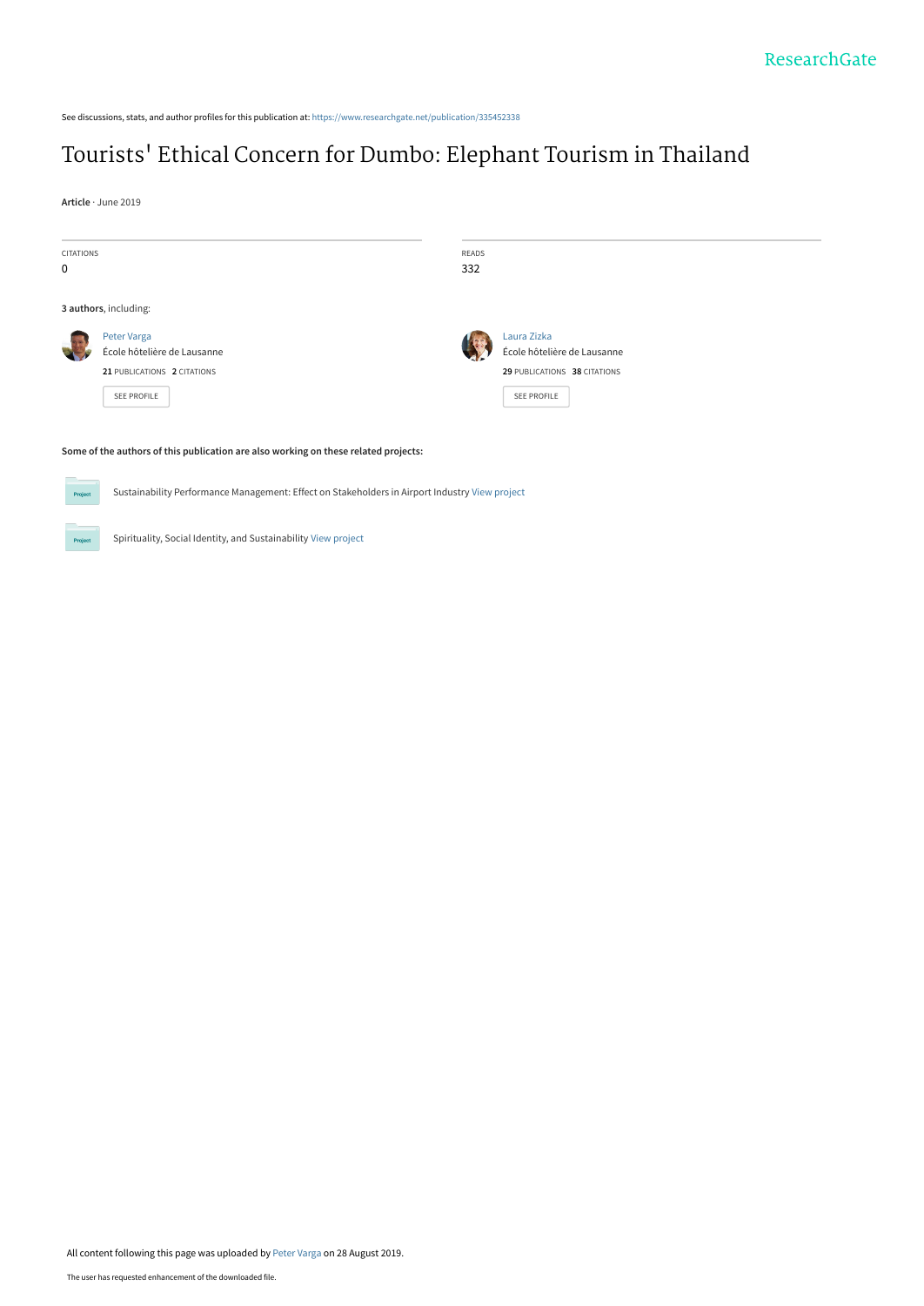See discussions, stats, and author profiles for this publication at: [https://www.researchgate.net/publication/335452338](https://www.researchgate.net/publication/335452338_Tourists%27_Ethical_Concern_for_Dumbo_Elephant_Tourism_in_Thailand?enrichId=rgreq-39bbc663b05156c5d56f955c856d5d31-XXX&enrichSource=Y292ZXJQYWdlOzMzNTQ1MjMzODtBUzo3OTY4NTk5MzMxNTUzMjhAMTU2Njk5NzYyMTM1Nw%3D%3D&el=1_x_2&_esc=publicationCoverPdf)

# Tourists[' Ethical Concern for Dumbo: Elephant Tourism in Thailand](https://www.researchgate.net/publication/335452338_Tourists%27_Ethical_Concern_for_Dumbo_Elephant_Tourism_in_Thailand?enrichId=rgreq-39bbc663b05156c5d56f955c856d5d31-XXX&enrichSource=Y292ZXJQYWdlOzMzNTQ1MjMzODtBUzo3OTY4NTk5MzMxNTUzMjhAMTU2Njk5NzYyMTM1Nw%3D%3D&el=1_x_3&_esc=publicationCoverPdf)

**Article** · June 2019

| <b>CITATIONS</b><br>$\mathbf 0$ |                                                                                                 | READS<br>332 |                                                                                           |
|---------------------------------|-------------------------------------------------------------------------------------------------|--------------|-------------------------------------------------------------------------------------------|
|                                 | 3 authors, including:                                                                           |              |                                                                                           |
|                                 | Peter Varga<br>École hôtelière de Lausanne<br>21 PUBLICATIONS 2 CITATIONS<br><b>SEE PROFILE</b> |              | Laura Zizka<br>École hôtelière de Lausanne<br>29 PUBLICATIONS 38 CITATIONS<br>SEE PROFILE |
|                                 | Some of the authors of this publication are also working on these related projects:             |              |                                                                                           |

#### of the authors of this publication are also working on these related projects:

**Project** 

Sustainability Performance Management: Effect on Stakeholders in Airport Industry [View project](https://www.researchgate.net/project/Sustainability-Performance-Management-Effect-on-Stakeholders-in-Airport-Industry?enrichId=rgreq-39bbc663b05156c5d56f955c856d5d31-XXX&enrichSource=Y292ZXJQYWdlOzMzNTQ1MjMzODtBUzo3OTY4NTk5MzMxNTUzMjhAMTU2Njk5NzYyMTM1Nw%3D%3D&el=1_x_9&_esc=publicationCoverPdf)

Spirituality, Social Identity, and Sustainability [View project](https://www.researchgate.net/project/Spirituality-Social-Identity-and-Sustainability?enrichId=rgreq-39bbc663b05156c5d56f955c856d5d31-XXX&enrichSource=Y292ZXJQYWdlOzMzNTQ1MjMzODtBUzo3OTY4NTk5MzMxNTUzMjhAMTU2Njk5NzYyMTM1Nw%3D%3D&el=1_x_9&_esc=publicationCoverPdf)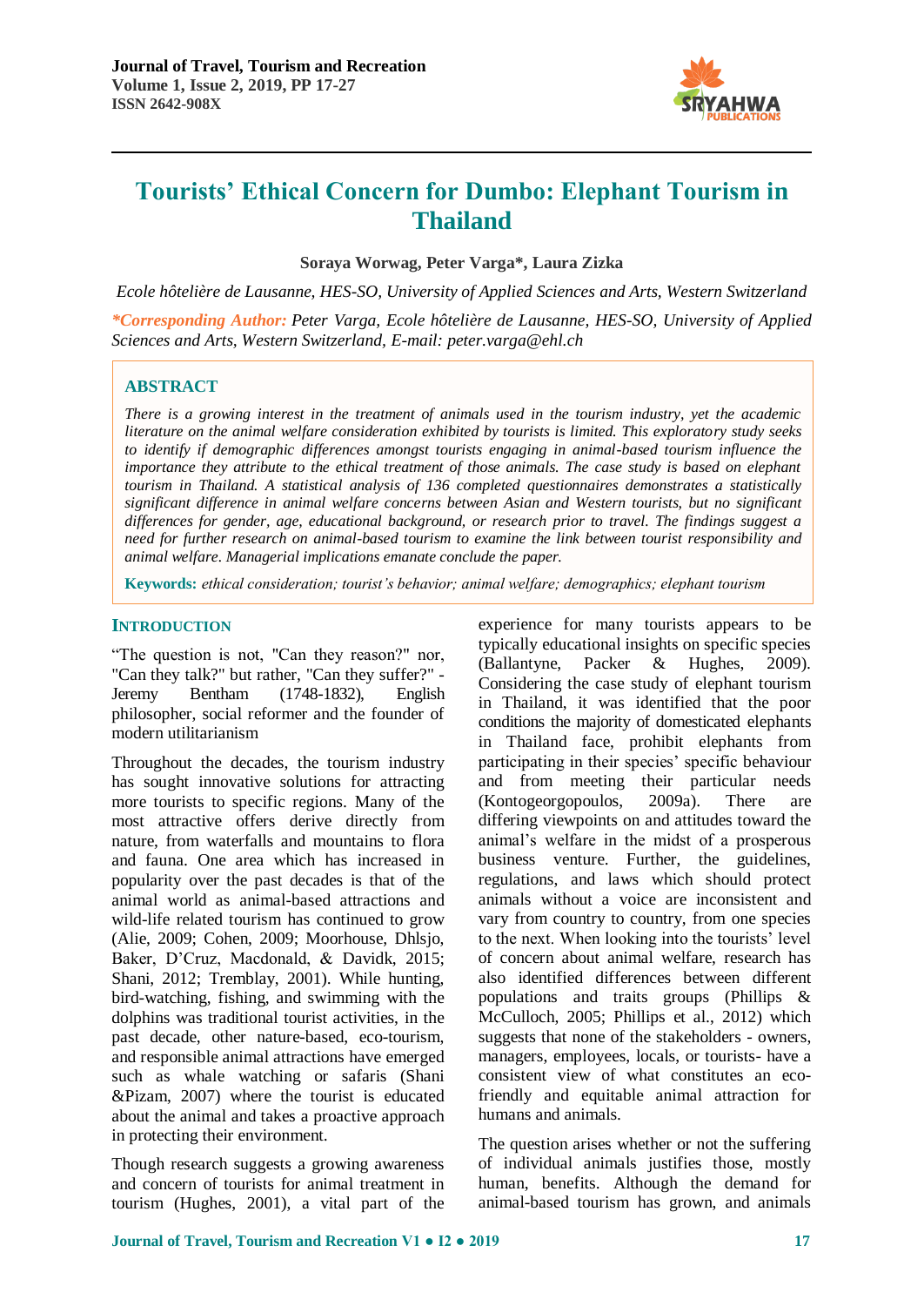

**Soraya Worwag, Peter Varga\*, Laura Zizka**

*Ecole hôtelière de Lausanne, HES-SO, University of Applied Sciences and Arts, Western Switzerland*

*\*Corresponding Author: Peter Varga, Ecole hôtelière de Lausanne, HES-SO, University of Applied Sciences and Arts, Western Switzerland, E-mail: peter.varga@ehl.ch*

## **ABSTRACT**

*There is a growing interest in the treatment of animals used in the tourism industry, yet the academic literature on the animal welfare consideration exhibited by tourists is limited. This exploratory study seeks to identify if demographic differences amongst tourists engaging in animal-based tourism influence the importance they attribute to the ethical treatment of those animals. The case study is based on elephant tourism in Thailand. A statistical analysis of 136 completed questionnaires demonstrates a statistically significant difference in animal welfare concerns between Asian and Western tourists, but no significant differences for gender, age, educational background, or research prior to travel. The findings suggest a need for further research on animal-based tourism to examine the link between tourist responsibility and animal welfare. Managerial implications emanate conclude the paper.*

**Keywords:** *ethical consideration; tourist's behavior; animal welfare; demographics; elephant tourism*

## **INTRODUCTION**

"The question is not, "Can they reason?" nor, "Can they talk?" but rather, "Can they suffer?" - Jeremy Bentham (1748-1832), English philosopher, social reformer and the founder of modern utilitarianism

Throughout the decades, the tourism industry has sought innovative solutions for attracting more tourists to specific regions. Many of the most attractive offers derive directly from nature, from waterfalls and mountains to flora and fauna. One area which has increased in popularity over the past decades is that of the animal world as animal-based attractions and wild-life related tourism has continued to grow (Alie, 2009; Cohen, 2009; Moorhouse, Dhlsjo, Baker, D'Cruz, Macdonald, & Davidk, 2015; Shani, 2012; Tremblay, 2001). While hunting, bird-watching, fishing, and swimming with the dolphins was traditional tourist activities, in the past decade, other nature-based, eco-tourism, and responsible animal attractions have emerged such as whale watching or safaris (Shani &Pizam, 2007) where the tourist is educated about the animal and takes a proactive approach in protecting their environment.

Though research suggests a growing awareness and concern of tourists for animal treatment in tourism (Hughes, 2001), a vital part of the

experience for many tourists appears to be typically educational insights on specific species (Ballantyne, Packer & Hughes, 2009). Considering the case study of elephant tourism in Thailand, it was identified that the poor conditions the majority of domesticated elephants in Thailand face, prohibit elephants from participating in their species' specific behaviour and from meeting their particular needs (Kontogeorgopoulos, 2009a). There are differing viewpoints on and attitudes toward the animal's welfare in the midst of a prosperous business venture. Further, the guidelines, regulations, and laws which should protect animals without a voice are inconsistent and vary from country to country, from one species to the next. When looking into the tourists' level of concern about animal welfare, research has also identified differences between different populations and traits groups (Phillips & McCulloch, 2005; Phillips et al., 2012) which suggests that none of the stakeholders - owners, managers, employees, locals, or tourists- have a consistent view of what constitutes an ecofriendly and equitable animal attraction for humans and animals.

The question arises whether or not the suffering of individual animals justifies those, mostly human, benefits. Although the demand for animal-based tourism has grown, and animals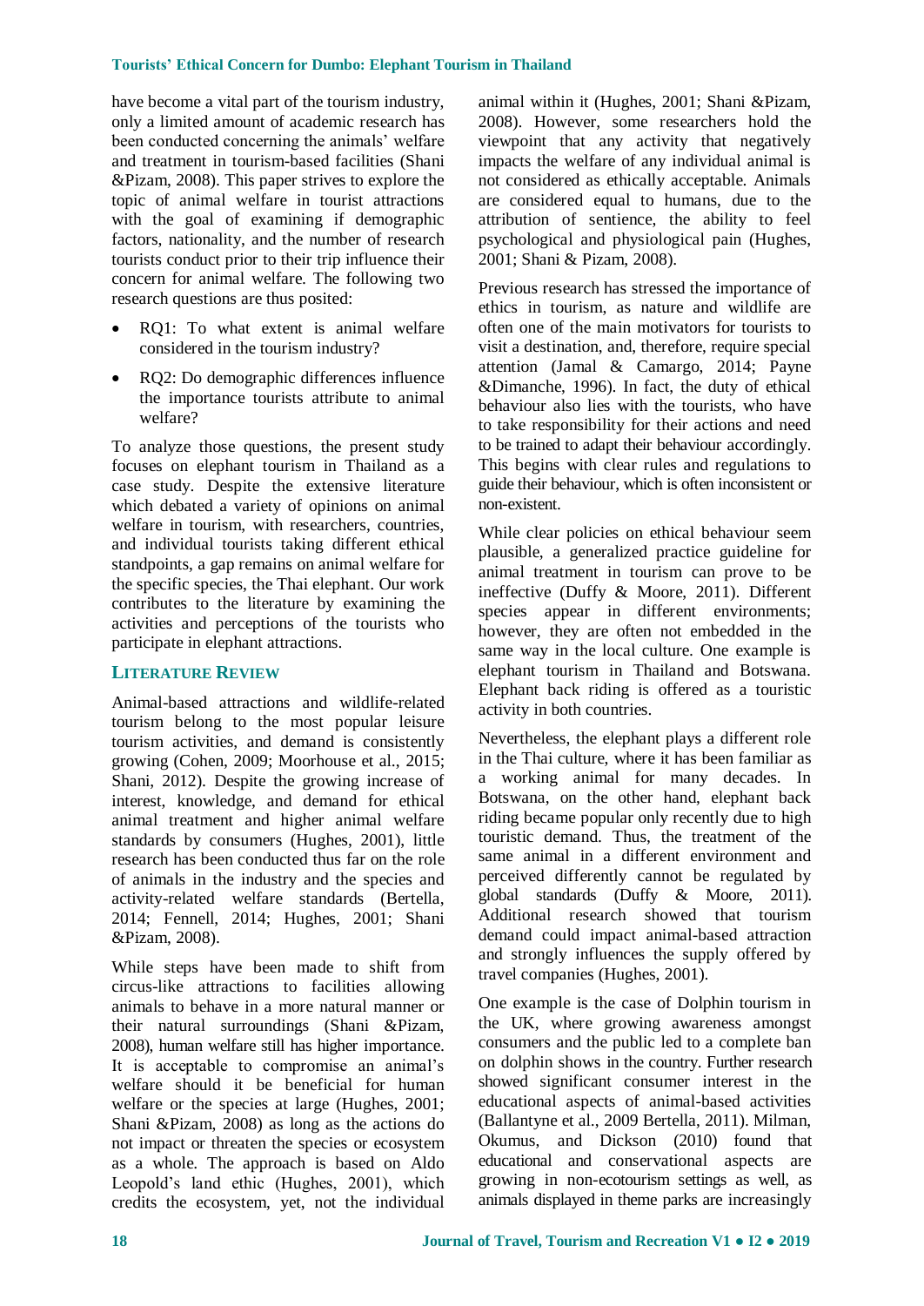have become a vital part of the tourism industry, only a limited amount of academic research has been conducted concerning the animals' welfare and treatment in tourism-based facilities (Shani &Pizam, 2008). This paper strives to explore the topic of animal welfare in tourist attractions with the goal of examining if demographic factors, nationality, and the number of research tourists conduct prior to their trip influence their concern for animal welfare. The following two research questions are thus posited:

- RQ1: To what extent is animal welfare considered in the tourism industry?
- RQ2: Do demographic differences influence the importance tourists attribute to animal welfare?

To analyze those questions, the present study focuses on elephant tourism in Thailand as a case study. Despite the extensive literature which debated a variety of opinions on animal welfare in tourism, with researchers, countries, and individual tourists taking different ethical standpoints, a gap remains on animal welfare for the specific species, the Thai elephant. Our work contributes to the literature by examining the activities and perceptions of the tourists who participate in elephant attractions.

#### **LITERATURE REVIEW**

Animal-based attractions and wildlife-related tourism belong to the most popular leisure tourism activities, and demand is consistently growing (Cohen, 2009; Moorhouse et al., 2015; Shani, 2012). Despite the growing increase of interest, knowledge, and demand for ethical animal treatment and higher animal welfare standards by consumers (Hughes, 2001), little research has been conducted thus far on the role of animals in the industry and the species and activity-related welfare standards (Bertella, 2014; Fennell, 2014; Hughes, 2001; Shani &Pizam, 2008).

While steps have been made to shift from circus-like attractions to facilities allowing animals to behave in a more natural manner or their natural surroundings (Shani &Pizam, 2008), human welfare still has higher importance. It is acceptable to compromise an animal's welfare should it be beneficial for human welfare or the species at large (Hughes, 2001; Shani &Pizam, 2008) as long as the actions do not impact or threaten the species or ecosystem as a whole. The approach is based on Aldo Leopold's land ethic (Hughes, 2001), which credits the ecosystem, yet, not the individual

animal within it (Hughes, 2001; Shani &Pizam, 2008). However, some researchers hold the viewpoint that any activity that negatively impacts the welfare of any individual animal is not considered as ethically acceptable. Animals are considered equal to humans, due to the attribution of sentience, the ability to feel psychological and physiological pain (Hughes, 2001; Shani & Pizam, 2008).

Previous research has stressed the importance of ethics in tourism, as nature and wildlife are often one of the main motivators for tourists to visit a destination, and, therefore, require special attention (Jamal & Camargo, 2014; Payne &Dimanche, 1996). In fact, the duty of ethical behaviour also lies with the tourists, who have to take responsibility for their actions and need to be trained to adapt their behaviour accordingly. This begins with clear rules and regulations to guide their behaviour, which is often inconsistent or non-existent.

While clear policies on ethical behaviour seem plausible, a generalized practice guideline for animal treatment in tourism can prove to be ineffective (Duffy & Moore, 2011). Different species appear in different environments; however, they are often not embedded in the same way in the local culture. One example is elephant tourism in Thailand and Botswana. Elephant back riding is offered as a touristic activity in both countries.

Nevertheless, the elephant plays a different role in the Thai culture, where it has been familiar as a working animal for many decades. In Botswana, on the other hand, elephant back riding became popular only recently due to high touristic demand. Thus, the treatment of the same animal in a different environment and perceived differently cannot be regulated by global standards (Duffy & Moore, 2011). Additional research showed that tourism demand could impact animal-based attraction and strongly influences the supply offered by travel companies (Hughes, 2001).

One example is the case of Dolphin tourism in the UK, where growing awareness amongst consumers and the public led to a complete ban on dolphin shows in the country. Further research showed significant consumer interest in the educational aspects of animal-based activities (Ballantyne et al., 2009 Bertella, 2011). Milman, Okumus, and Dickson (2010) found that educational and conservational aspects are growing in non-ecotourism settings as well, as animals displayed in theme parks are increasingly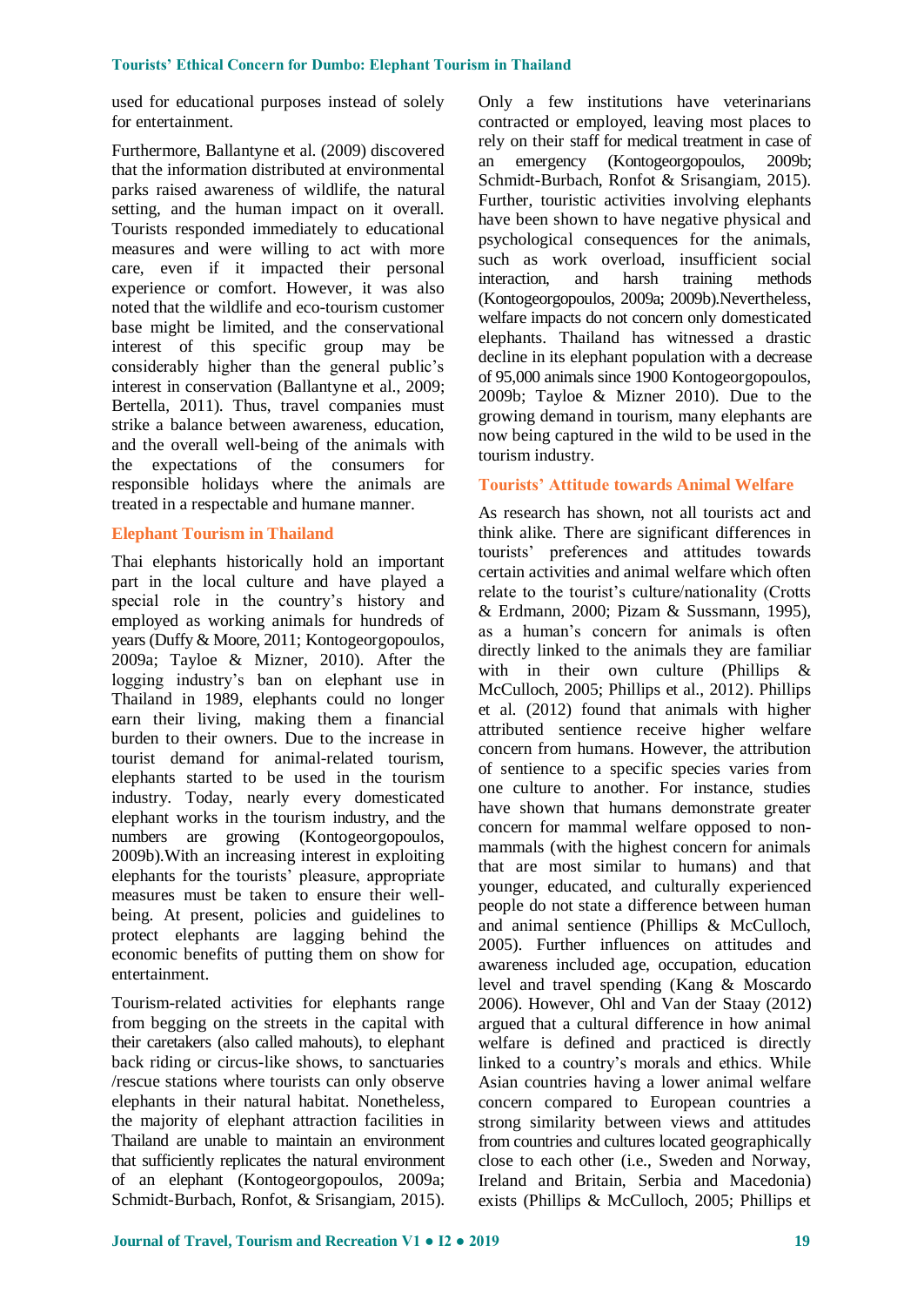used for educational purposes instead of solely for entertainment.

Furthermore, Ballantyne et al. (2009) discovered that the information distributed at environmental parks raised awareness of wildlife, the natural setting, and the human impact on it overall. Tourists responded immediately to educational measures and were willing to act with more care, even if it impacted their personal experience or comfort. However, it was also noted that the wildlife and eco-tourism customer base might be limited, and the conservational interest of this specific group may be considerably higher than the general public's interest in conservation (Ballantyne et al., 2009; Bertella, 2011). Thus, travel companies must strike a balance between awareness, education, and the overall well-being of the animals with the expectations of the consumers for responsible holidays where the animals are treated in a respectable and humane manner.

## **Elephant Tourism in Thailand**

Thai elephants historically hold an important part in the local culture and have played a special role in the country's history and employed as working animals for hundreds of years (Duffy & Moore, 2011; Kontogeorgopoulos, 2009a; Tayloe & Mizner, 2010). After the logging industry's ban on elephant use in Thailand in 1989, elephants could no longer earn their living, making them a financial burden to their owners. Due to the increase in tourist demand for animal-related tourism, elephants started to be used in the tourism industry. Today, nearly every domesticated elephant works in the tourism industry, and the numbers are growing (Kontogeorgopoulos, 2009b).With an increasing interest in exploiting elephants for the tourists' pleasure, appropriate measures must be taken to ensure their wellbeing. At present, policies and guidelines to protect elephants are lagging behind the economic benefits of putting them on show for entertainment.

Tourism-related activities for elephants range from begging on the streets in the capital with their caretakers (also called mahouts), to elephant back riding or circus-like shows, to sanctuaries /rescue stations where tourists can only observe elephants in their natural habitat. Nonetheless, the majority of elephant attraction facilities in Thailand are unable to maintain an environment that sufficiently replicates the natural environment of an elephant (Kontogeorgopoulos, 2009a; Schmidt-Burbach, Ronfot, & Srisangiam, 2015).

Only a few institutions have veterinarians contracted or employed, leaving most places to rely on their staff for medical treatment in case of an emergency (Kontogeorgopoulos, 2009b; Schmidt-Burbach, Ronfot & Srisangiam, 2015). Further, touristic activities involving elephants have been shown to have negative physical and psychological consequences for the animals, such as work overload, insufficient social interaction, and harsh training methods (Kontogeorgopoulos, 2009a; 2009b).Nevertheless, welfare impacts do not concern only domesticated elephants. Thailand has witnessed a drastic decline in its elephant population with a decrease of 95,000 animals since 1900 Kontogeorgopoulos, 2009b; Tayloe & Mizner 2010). Due to the growing demand in tourism, many elephants are now being captured in the wild to be used in the tourism industry.

## **Tourists' Attitude towards Animal Welfare**

As research has shown, not all tourists act and think alike. There are significant differences in tourists' preferences and attitudes towards certain activities and animal welfare which often relate to the tourist's culture/nationality (Crotts & Erdmann, 2000; Pizam & Sussmann, 1995), as a human's concern for animals is often directly linked to the animals they are familiar with in their own culture (Phillips & McCulloch, 2005; Phillips et al., 2012). Phillips et al. (2012) found that animals with higher attributed sentience receive higher welfare concern from humans. However, the attribution of sentience to a specific species varies from one culture to another. For instance, studies have shown that humans demonstrate greater concern for mammal welfare opposed to nonmammals (with the highest concern for animals that are most similar to humans) and that younger, educated, and culturally experienced people do not state a difference between human and animal sentience (Phillips & McCulloch, 2005). Further influences on attitudes and awareness included age, occupation, education level and travel spending (Kang & Moscardo 2006). However, Ohl and Van der Staay (2012) argued that a cultural difference in how animal welfare is defined and practiced is directly linked to a country's morals and ethics. While Asian countries having a lower animal welfare concern compared to European countries a strong similarity between views and attitudes from countries and cultures located geographically close to each other (i.e., Sweden and Norway, Ireland and Britain, Serbia and Macedonia) exists (Phillips & McCulloch, 2005; Phillips et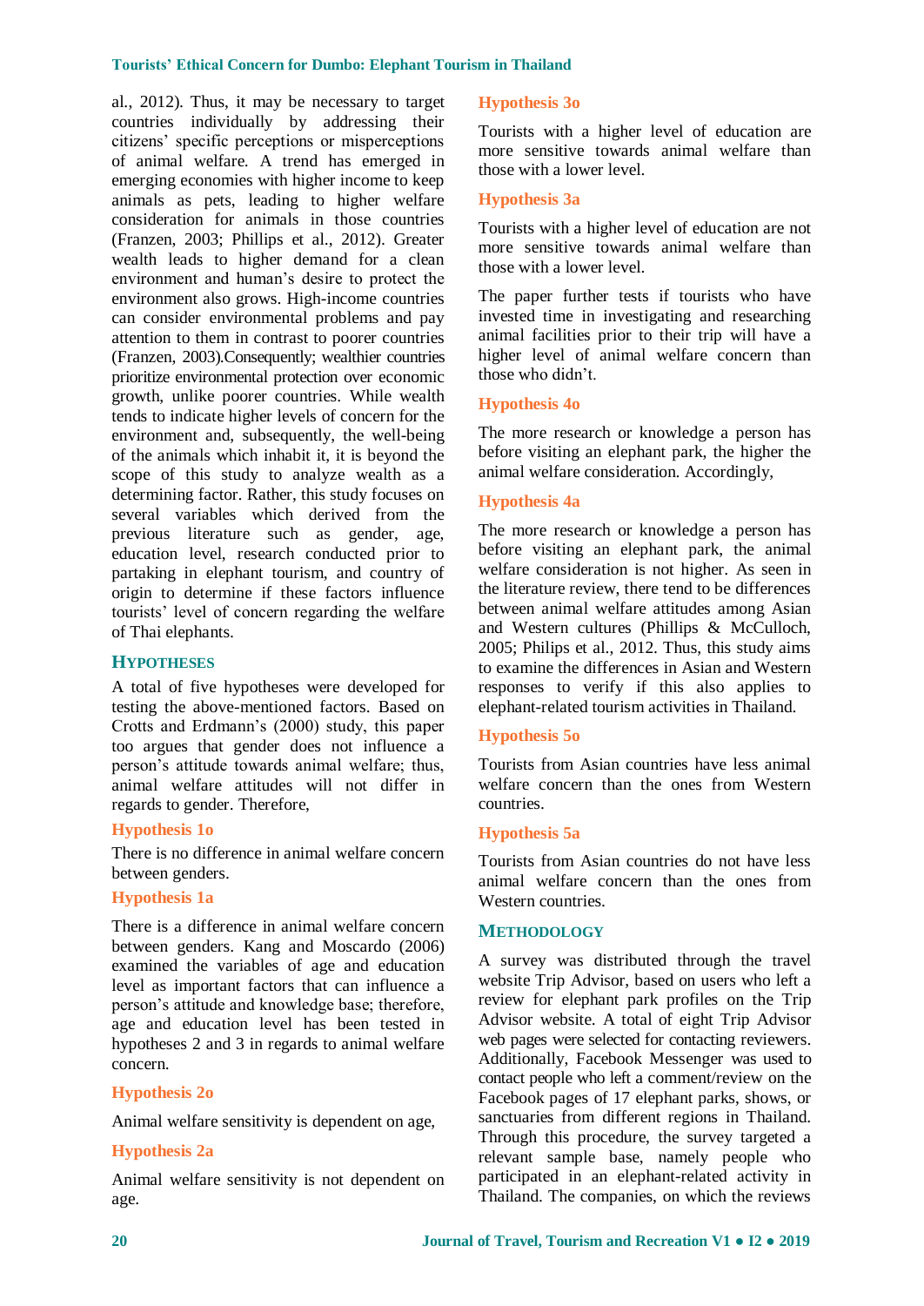al., 2012). Thus, it may be necessary to target countries individually by addressing their citizens' specific perceptions or misperceptions of animal welfare. A trend has emerged in emerging economies with higher income to keep animals as pets, leading to higher welfare consideration for animals in those countries (Franzen, 2003; Phillips et al., 2012). Greater wealth leads to higher demand for a clean environment and human's desire to protect the environment also grows. High-income countries can consider environmental problems and pay attention to them in contrast to poorer countries (Franzen, 2003).Consequently; wealthier countries prioritize environmental protection over economic growth, unlike poorer countries. While wealth tends to indicate higher levels of concern for the environment and, subsequently, the well-being of the animals which inhabit it, it is beyond the scope of this study to analyze wealth as a determining factor. Rather, this study focuses on several variables which derived from the previous literature such as gender, age, education level, research conducted prior to partaking in elephant tourism, and country of origin to determine if these factors influence tourists' level of concern regarding the welfare of Thai elephants.

## **HYPOTHESES**

A total of five hypotheses were developed for testing the above-mentioned factors. Based on Crotts and Erdmann's (2000) study, this paper too argues that gender does not influence a person's attitude towards animal welfare; thus, animal welfare attitudes will not differ in regards to gender. Therefore,

#### **Hypothesis 1o**

There is no difference in animal welfare concern between genders.

#### **Hypothesis 1a**

There is a difference in animal welfare concern between genders. Kang and Moscardo (2006) examined the variables of age and education level as important factors that can influence a person's attitude and knowledge base; therefore, age and education level has been tested in hypotheses 2 and 3 in regards to animal welfare concern.

#### **Hypothesis 2o**

Animal welfare sensitivity is dependent on age,

#### **Hypothesis 2a**

Animal welfare sensitivity is not dependent on age.

#### **Hypothesis 3o**

Tourists with a higher level of education are more sensitive towards animal welfare than those with a lower level.

## **Hypothesis 3a**

Tourists with a higher level of education are not more sensitive towards animal welfare than those with a lower level.

The paper further tests if tourists who have invested time in investigating and researching animal facilities prior to their trip will have a higher level of animal welfare concern than those who didn't.

#### **Hypothesis 4o**

The more research or knowledge a person has before visiting an elephant park, the higher the animal welfare consideration. Accordingly,

## **Hypothesis 4a**

The more research or knowledge a person has before visiting an elephant park, the animal welfare consideration is not higher. As seen in the literature review, there tend to be differences between animal welfare attitudes among Asian and Western cultures (Phillips & McCulloch, 2005; Philips et al., 2012. Thus, this study aims to examine the differences in Asian and Western responses to verify if this also applies to elephant-related tourism activities in Thailand.

## **Hypothesis 5o**

Tourists from Asian countries have less animal welfare concern than the ones from Western countries.

#### **Hypothesis 5a**

Tourists from Asian countries do not have less animal welfare concern than the ones from Western countries.

#### **METHODOLOGY**

A survey was distributed through the travel website Trip Advisor, based on users who left a review for elephant park profiles on the Trip Advisor website. A total of eight Trip Advisor web pages were selected for contacting reviewers. Additionally, Facebook Messenger was used to contact people who left a comment/review on the Facebook pages of 17 elephant parks, shows, or sanctuaries from different regions in Thailand. Through this procedure, the survey targeted a relevant sample base, namely people who participated in an elephant-related activity in Thailand. The companies, on which the reviews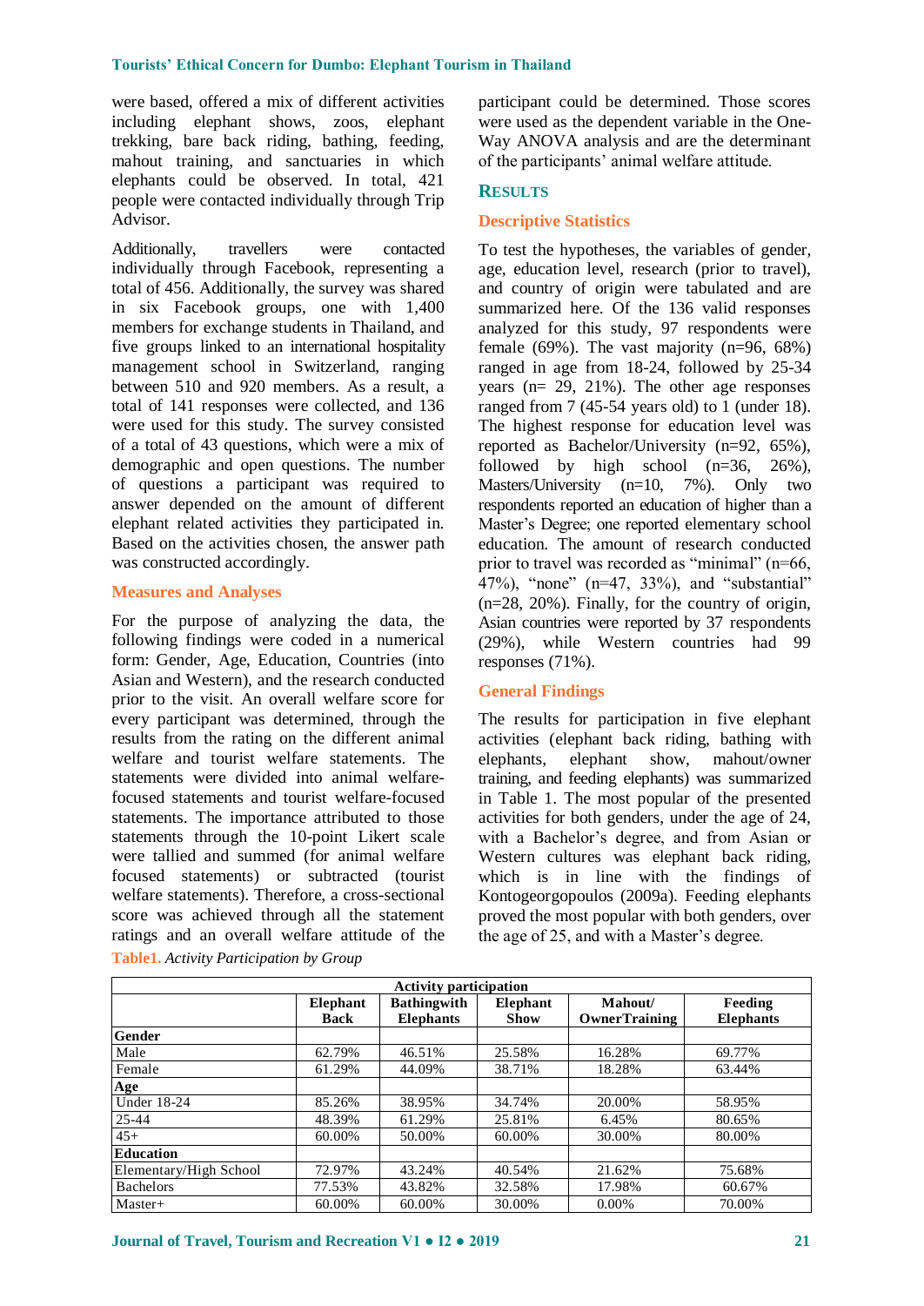were based, offered a mix of different activities including elephant shows, zoos, elephant trekking, bare back riding, bathing, feeding, mahout training, and sanctuaries in which elephants could be observed. In total, 421 people were contacted individually through Trip Advisor.

Additionally, travellers were contacted individually through Facebook, representing a total of 456. Additionally, the survey was shared in six Facebook groups, one with 1,400 members for exchange students in Thailand, and five groups linked to an international hospitality management school in Switzerland, ranging between 510 and 920 members. As a result, a total of 141 responses were collected, and 136 were used for this study. The survey consisted of a total of 43 questions, which were a mix of demographic and open questions. The number of questions a participant was required to answer depended on the amount of different elephant related activities they participated in. Based on the activities chosen, the answer path was constructed accordingly.

## **Measures and Analyses**

For the purpose of analyzing the data, the following findings were coded in a numerical form: Gender, Age, Education, Countries (into Asian and Western), and the research conducted prior to the visit. An overall welfare score for every participant was determined, through the results from the rating on the different animal welfare and tourist welfare statements. The statements were divided into animal welfarefocused statements and tourist welfare-focused statements. The importance attributed to those statements through the 10-point Likert scale were tallied and summed (for animal welfare focused statements) or subtracted (tourist welfare statements). Therefore, a cross-sectional score was achieved through all the statement ratings and an overall welfare attitude of the

participant could be determined. Those scores were used as the dependent variable in the One-Way ANOVA analysis and are the determinant of the participants' animal welfare attitude.

#### **RESULTS**

#### **Descriptive Statistics**

To test the hypotheses, the variables of gender, age, education level, research (prior to travel), and country of origin were tabulated and are summarized here. Of the 136 valid responses analyzed for this study, 97 respondents were female (69%). The vast majority  $(n=96, 68%)$ ranged in age from 18-24, followed by 25-34 years ( $n= 29, 21\%$ ). The other age responses ranged from 7 (45-54 years old) to 1 (under 18). The highest response for education level was reported as Bachelor/University (n=92, 65%), followed by high school  $(n=36, 26\%)$ , Masters/University (n=10, 7%). Only two respondents reported an education of higher than a Master's Degree; one reported elementary school education. The amount of research conducted prior to travel was recorded as "minimal" (n=66, 47%), "none" (n=47, 33%), and "substantial" (n=28, 20%). Finally, for the country of origin, Asian countries were reported by 37 respondents (29%), while Western countries had 99 responses (71%).

## **General Findings**

The results for participation in five elephant activities (elephant back riding, bathing with elephants, elephant show, mahout/owner training, and feeding elephants) was summarized in Table 1. The most popular of the presented activities for both genders, under the age of 24, with a Bachelor's degree, and from Asian or Western cultures was elephant back riding, which is in line with the findings of Kontogeorgopoulos (2009a). Feeding elephants proved the most popular with both genders, over the age of 25, and with a Master's degree.

| <b>Activity participation</b> |                                                       |                  |             |                      |                  |  |  |  |  |  |  |
|-------------------------------|-------------------------------------------------------|------------------|-------------|----------------------|------------------|--|--|--|--|--|--|
|                               | <b>Bathingwith</b><br>Elephant<br>Mahout/<br>Elephant |                  |             |                      |                  |  |  |  |  |  |  |
|                               | <b>Back</b>                                           | <b>Elephants</b> | <b>Show</b> | <b>OwnerTraining</b> | <b>Elephants</b> |  |  |  |  |  |  |
| <b>Gender</b>                 |                                                       |                  |             |                      |                  |  |  |  |  |  |  |
| Male                          | 62.79%                                                | 46.51%           | 25.58%      | 16.28%               | 69.77%           |  |  |  |  |  |  |
| Female                        | 61.29%                                                | 44.09%           | 38.71%      | 18.28%               | 63.44%           |  |  |  |  |  |  |
| Age                           |                                                       |                  |             |                      |                  |  |  |  |  |  |  |
| <b>Under 18-24</b>            | 85.26%                                                | 38.95%           | 34.74%      | 20.00%               | 58.95%           |  |  |  |  |  |  |
| $25 - 44$                     | 48.39%                                                | 61.29%           | 25.81%      | 6.45%                | 80.65%           |  |  |  |  |  |  |
| $45+$                         | 60.00%                                                | 50.00%           | 60.00%      | 30.00%               | 80.00%           |  |  |  |  |  |  |
| Education                     |                                                       |                  |             |                      |                  |  |  |  |  |  |  |
| Elementary/High School        | 72.97%                                                | 43.24%           | 40.54%      | 21.62%               | 75.68%           |  |  |  |  |  |  |
| <b>Bachelors</b>              | 77.53%                                                | 43.82%           | 32.58%      | 17.98%               | 60.67%           |  |  |  |  |  |  |
| $Master+$                     | 60.00%                                                | 60.00%           | 30.00%      | $0.00\%$             | 70.00%           |  |  |  |  |  |  |

**Table1.** *Activity Participation by Group*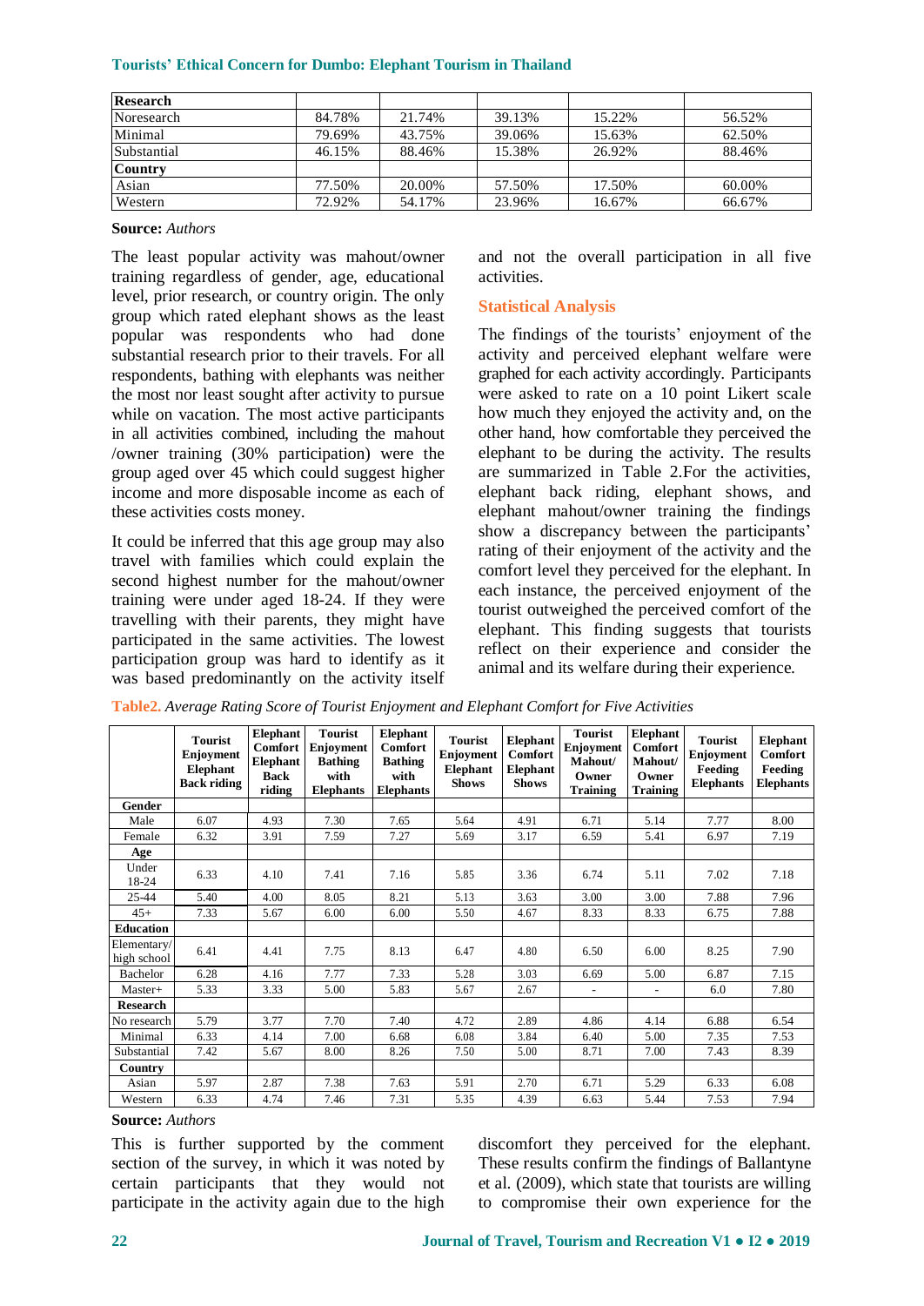| Research       |        |        |        |        |        |  |
|----------------|--------|--------|--------|--------|--------|--|
| Noresearch     | 84.78% | 21.74% | 39.13% | 15.22% | 56.52% |  |
| Minimal        | 79.69% | 43.75% | 39.06% | 15.63% | 62.50% |  |
| Substantial    | 46.15% | 88.46% | 15.38% | 26.92% | 88.46% |  |
| <b>Country</b> |        |        |        |        |        |  |
| Asian          | 77.50% | 20.00% | 57.50% | 17.50% | 60.00% |  |
| Western        | 72.92% | 54.17% | 23.96% | 16.67% | 66.67% |  |

**Source:** *Authors*

The least popular activity was mahout/owner training regardless of gender, age, educational level, prior research, or country origin. The only group which rated elephant shows as the least popular was respondents who had done substantial research prior to their travels. For all respondents, bathing with elephants was neither the most nor least sought after activity to pursue while on vacation. The most active participants in all activities combined, including the mahout /owner training (30% participation) were the group aged over 45 which could suggest higher income and more disposable income as each of these activities costs money.

It could be inferred that this age group may also travel with families which could explain the second highest number for the mahout/owner training were under aged 18-24. If they were travelling with their parents, they might have participated in the same activities. The lowest participation group was hard to identify as it was based predominantly on the activity itself and not the overall participation in all five activities.

#### **Statistical Analysis**

The findings of the tourists' enjoyment of the activity and perceived elephant welfare were graphed for each activity accordingly. Participants were asked to rate on a 10 point Likert scale how much they enjoyed the activity and, on the other hand, how comfortable they perceived the elephant to be during the activity. The results are summarized in Table 2.For the activities, elephant back riding, elephant shows, and elephant mahout/owner training the findings show a discrepancy between the participants' rating of their enjoyment of the activity and the comfort level they perceived for the elephant. In each instance, the perceived enjoyment of the tourist outweighed the perceived comfort of the elephant. This finding suggests that tourists reflect on their experience and consider the animal and its welfare during their experience.

|                            | <b>Tourist</b><br>Enjoyment<br>Elephant<br><b>Back riding</b> | Elephant<br><b>Comfort</b><br><b>Elephant</b><br><b>Back</b><br>riding | <b>Tourist</b><br>Enjoyment<br><b>Bathing</b><br>with<br><b>Elephants</b> | Elephant<br><b>Comfort</b><br><b>Bathing</b><br>with<br><b>Elephants</b> | <b>Tourist</b><br><b>Enjoyment</b><br><b>Elephant</b><br><b>Shows</b> | <b>Elephant</b><br><b>Comfort</b><br><b>Elephant</b><br><b>Shows</b> | <b>Tourist</b><br><b>Enjoyment</b><br>Mahout/<br>Owner<br><b>Training</b> | <b>Elephant</b><br><b>Comfort</b><br>Mahout/<br>Owner<br>Training | <b>Tourist</b><br><b>Enjoyment</b><br>Feeding<br><b>Elephants</b> | <b>Elephant</b><br><b>Comfort</b><br>Feeding<br><b>Elephants</b> |
|----------------------------|---------------------------------------------------------------|------------------------------------------------------------------------|---------------------------------------------------------------------------|--------------------------------------------------------------------------|-----------------------------------------------------------------------|----------------------------------------------------------------------|---------------------------------------------------------------------------|-------------------------------------------------------------------|-------------------------------------------------------------------|------------------------------------------------------------------|
| Gender                     |                                                               |                                                                        |                                                                           |                                                                          |                                                                       |                                                                      |                                                                           |                                                                   |                                                                   |                                                                  |
| Male                       | 6.07                                                          | 4.93                                                                   | 7.30                                                                      | 7.65                                                                     | 5.64                                                                  | 4.91                                                                 | 6.71                                                                      | 5.14                                                              | 7.77                                                              | 8.00                                                             |
| Female                     | 6.32                                                          | 3.91                                                                   | 7.59                                                                      | 7.27                                                                     | 5.69                                                                  | 3.17                                                                 | 6.59                                                                      | 5.41                                                              | 6.97                                                              | 7.19                                                             |
| Age                        |                                                               |                                                                        |                                                                           |                                                                          |                                                                       |                                                                      |                                                                           |                                                                   |                                                                   |                                                                  |
| Under<br>18-24             | 6.33                                                          | 4.10                                                                   | 7.41                                                                      | 7.16                                                                     | 5.85                                                                  | 3.36                                                                 | 6.74                                                                      |                                                                   | 7.02                                                              | 7.18                                                             |
| 25-44                      | 5.40                                                          | 4.00                                                                   | 8.05                                                                      | 8.21                                                                     | 5.13                                                                  | 3.63                                                                 | 3.00                                                                      | 3.00                                                              | 7.88                                                              | 7.96                                                             |
| $45+$                      | 7.33                                                          | 5.67                                                                   | 6.00                                                                      | 6.00                                                                     | 5.50                                                                  | 4.67                                                                 | 8.33                                                                      | 8.33                                                              | 6.75                                                              | 7.88                                                             |
| <b>Education</b>           |                                                               |                                                                        |                                                                           |                                                                          |                                                                       |                                                                      |                                                                           |                                                                   |                                                                   |                                                                  |
| Elementary/<br>high school | 6.41                                                          | 4.41                                                                   | 7.75                                                                      | 8.13                                                                     | 6.47                                                                  | 4.80                                                                 | 6.50                                                                      | 6.00                                                              | 8.25                                                              | 7.90                                                             |
| Bachelor                   | 6.28                                                          | 4.16                                                                   | 7.77                                                                      | 7.33                                                                     | 5.28                                                                  | 3.03                                                                 | 6.69                                                                      | 5.00                                                              | 6.87                                                              | 7.15                                                             |
| Master+                    | 5.33                                                          | 3.33                                                                   | 5.00                                                                      | 5.83                                                                     | 5.67                                                                  | 2.67                                                                 | $\overline{\phantom{a}}$                                                  | $\overline{\phantom{a}}$                                          | 6.0                                                               | 7.80                                                             |
| <b>Research</b>            |                                                               |                                                                        |                                                                           |                                                                          |                                                                       |                                                                      |                                                                           |                                                                   |                                                                   |                                                                  |
| No research                | 5.79                                                          | 3.77                                                                   | 7.70                                                                      | 7.40                                                                     | 4.72                                                                  | 2.89                                                                 | 4.86                                                                      | 4.14                                                              | 6.88                                                              | 6.54                                                             |
| Minimal                    | 6.33                                                          | 4.14                                                                   | 7.00                                                                      | 6.68                                                                     | 6.08                                                                  | 3.84                                                                 | 6.40                                                                      | 5.00                                                              | 7.35                                                              | 7.53                                                             |
| Substantial                | 7.42                                                          | 5.67                                                                   | 8.00                                                                      | 8.26                                                                     | 7.50                                                                  | 5.00                                                                 | 8.71                                                                      | 7.00                                                              | 7.43                                                              | 8.39                                                             |
| Country                    |                                                               |                                                                        |                                                                           |                                                                          |                                                                       |                                                                      |                                                                           |                                                                   |                                                                   |                                                                  |
| Asian                      | 5.97                                                          | 2.87                                                                   | 7.38                                                                      | 7.63                                                                     | 5.91                                                                  | 2.70                                                                 | 6.71                                                                      | 5.29                                                              | 6.33                                                              | 6.08                                                             |
| Western                    | 6.33                                                          | 4.74                                                                   | 7.46                                                                      | 7.31                                                                     | 5.35                                                                  | 4.39                                                                 | 6.63                                                                      | 5.44                                                              | 7.53                                                              | 7.94                                                             |

**Table2.** *Average Rating Score of Tourist Enjoyment and Elephant Comfort for Five Activities*

**Source:** *Authors*

This is further supported by the comment section of the survey, in which it was noted by certain participants that they would not participate in the activity again due to the high discomfort they perceived for the elephant. These results confirm the findings of Ballantyne et al. (2009), which state that tourists are willing to compromise their own experience for the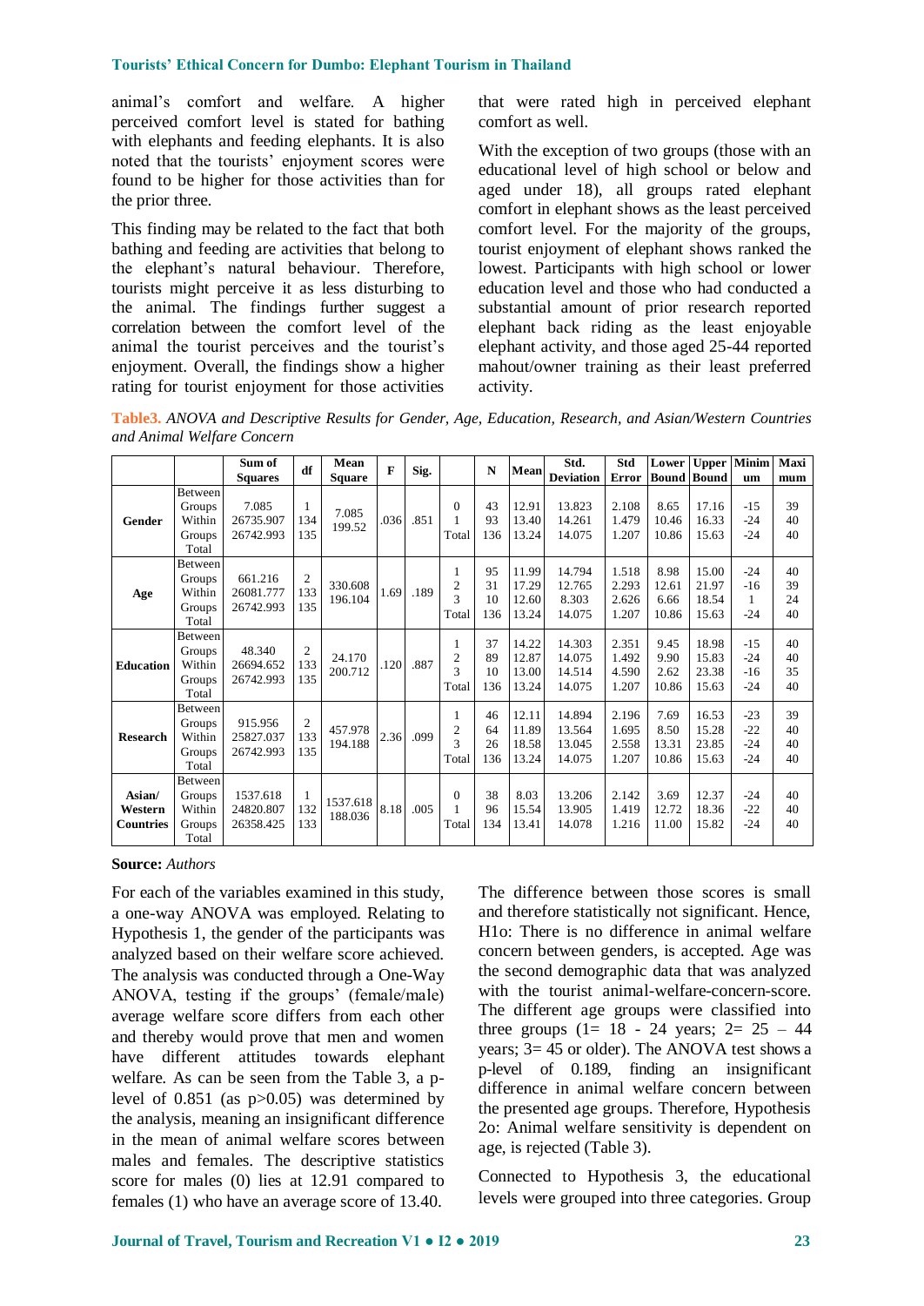animal's comfort and welfare. A higher perceived comfort level is stated for bathing with elephants and feeding elephants. It is also noted that the tourists' enjoyment scores were found to be higher for those activities than for the prior three.

This finding may be related to the fact that both bathing and feeding are activities that belong to the elephant's natural behaviour. Therefore, tourists might perceive it as less disturbing to the animal. The findings further suggest a correlation between the comfort level of the animal the tourist perceives and the tourist's enjoyment. Overall, the findings show a higher rating for tourist enjoyment for those activities

that were rated high in perceived elephant comfort as well.

With the exception of two groups (those with an educational level of high school or below and aged under 18), all groups rated elephant comfort in elephant shows as the least perceived comfort level. For the majority of the groups, tourist enjoyment of elephant shows ranked the lowest. Participants with high school or lower education level and those who had conducted a substantial amount of prior research reported elephant back riding as the least enjoyable elephant activity, and those aged 25-44 reported mahout/owner training as their least preferred activity.

**Table3.** *ANOVA and Descriptive Results for Gender, Age, Education, Research, and Asian/Western Countries and Animal Welfare Concern*

|                                       |                                                | Sum of<br><b>Squares</b>           | df              | Mean<br><b>Square</b> | $\mathbf{F}$ | Sig. |                                            | $\mathbf N$           | Mean                             | Std.<br><b>Deviation</b>             | Std                              | Lower<br>Error   Bound   Bound | <b>Upper</b>                     | <b>Minim</b><br>um                | Maxi<br>mum          |
|---------------------------------------|------------------------------------------------|------------------------------------|-----------------|-----------------------|--------------|------|--------------------------------------------|-----------------------|----------------------------------|--------------------------------------|----------------------------------|--------------------------------|----------------------------------|-----------------------------------|----------------------|
| Gender                                | Between<br>Groups<br>Within<br>Groups<br>Total | 7.085<br>26735.907<br>26742.993    | 1<br>134<br>135 | 7.085<br>199.52       | .036         | .851 | $\Omega$<br>Total                          | 43<br>93<br>136       | 12.91<br>13.40<br>13.24          | 13.823<br>14.261<br>14.075           | 2.108<br>1.479<br>1.207          | 8.65<br>10.46<br>10.86         | 17.16<br>16.33<br>15.63          | $-15$<br>$-24$<br>$-24$           | 39<br>40<br>40       |
| Age                                   | Between<br>Groups<br>Within<br>Groups<br>Total | 661.216<br>26081.777<br>26742.993  | 2<br>133<br>135 | 330.608<br>196.104    | 1.69         | .189 | 1<br>2<br>3<br>Total                       | 95<br>31<br>10<br>136 | 11.99<br>17.29<br>12.60<br>13.24 | 14.794<br>12.765<br>8.303<br>14.075  | 1.518<br>2.293<br>2.626<br>1.207 | 8.98<br>12.61<br>6.66<br>10.86 | 15.00<br>21.97<br>18.54<br>15.63 | $-24$<br>$-16$<br>1<br>$-24$      | 40<br>39<br>24<br>40 |
| <b>Education</b>                      | Between<br>Groups<br>Within<br>Groups<br>Total | 48.340<br>26694.652<br>26742.993   | 2<br>133<br>135 | 24.170<br>200.712     | .120         | .887 | $\mathbf{1}$<br>2<br>$\mathbf{3}$<br>Total | 37<br>89<br>10<br>136 | 14.22<br>12.87<br>13.00<br>13.24 | 14.303<br>14.075<br>14.514<br>14.075 | 2.351<br>1.492<br>4.590<br>1.207 | 9.45<br>9.90<br>2.62<br>10.86  | 18.98<br>15.83<br>23.38<br>15.63 | $-1.5$<br>$-24$<br>$-16$<br>$-24$ | 40<br>40<br>35<br>40 |
| <b>Research</b>                       | Between<br>Groups<br>Within<br>Groups<br>Total | 915.956<br>25827.037<br>26742.993  | 2<br>133<br>135 | 457.978<br>194.188    | 2.36         | .099 | 1<br>$\overline{c}$<br>3<br>Total          | 46<br>64<br>26<br>136 | 12.11<br>11.89<br>18.58<br>13.24 | 14.894<br>13.564<br>13.045<br>14.075 | 2.196<br>1.695<br>2.558<br>1.207 | 7.69<br>8.50<br>13.31<br>10.86 | 16.53<br>15.28<br>23.85<br>15.63 | $-23$<br>$-22$<br>$-24$<br>$-24$  | 39<br>40<br>40<br>40 |
| Asian/<br>Western<br><b>Countries</b> | Between<br>Groups<br>Within<br>Groups<br>Total | 1537.618<br>24820.807<br>26358.425 | 132<br>133      | 1537.618<br>188.036   | 8.18         | .005 | $\Omega$<br>Total                          | 38<br>96<br>134       | 8.03<br>15.54<br>13.41           | 13.206<br>13.905<br>14.078           | 2.142<br>1.419<br>1.216          | 3.69<br>12.72<br>11.00         | 12.37<br>18.36<br>15.82          | $-24$<br>$-22$<br>$-24$           | 40<br>40<br>40       |

**Source:** *Authors*

For each of the variables examined in this study, a one-way ANOVA was employed. Relating to Hypothesis 1, the gender of the participants was analyzed based on their welfare score achieved. The analysis was conducted through a One-Way ANOVA, testing if the groups' (female/male) average welfare score differs from each other and thereby would prove that men and women have different attitudes towards elephant welfare. As can be seen from the Table 3, a plevel of 0.851 (as p>0.05) was determined by the analysis, meaning an insignificant difference in the mean of animal welfare scores between males and females. The descriptive statistics score for males (0) lies at 12.91 compared to females (1) who have an average score of 13.40.

The difference between those scores is small and therefore statistically not significant. Hence, H1o: There is no difference in animal welfare concern between genders, is accepted. Age was the second demographic data that was analyzed with the tourist animal-welfare-concern-score. The different age groups were classified into three groups  $(1= 18 - 24 \text{ years}; 2= 25 - 44$ years; 3= 45 or older). The ANOVA test shows a p-level of 0.189, finding an insignificant difference in animal welfare concern between the presented age groups. Therefore, Hypothesis 2o: Animal welfare sensitivity is dependent on age, is rejected (Table 3).

Connected to Hypothesis 3, the educational levels were grouped into three categories. Group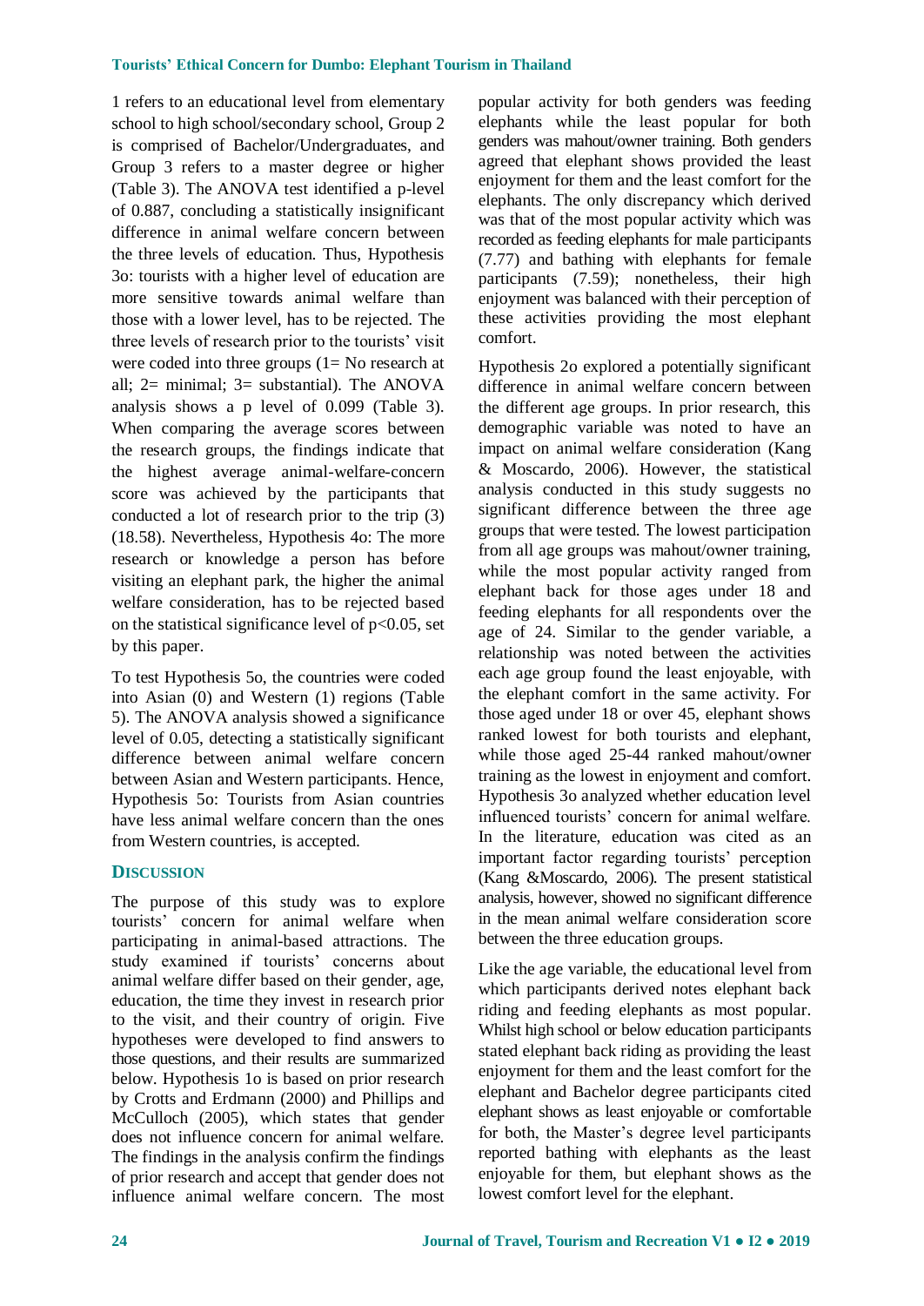1 refers to an educational level from elementary school to high school/secondary school, Group 2 is comprised of Bachelor/Undergraduates, and Group 3 refers to a master degree or higher (Table 3). The ANOVA test identified a p-level of 0.887, concluding a statistically insignificant difference in animal welfare concern between the three levels of education. Thus, Hypothesis 3o: tourists with a higher level of education are more sensitive towards animal welfare than those with a lower level, has to be rejected. The three levels of research prior to the tourists' visit were coded into three groups (1= No research at all; 2= minimal; 3= substantial). The ANOVA analysis shows a p level of 0.099 (Table 3). When comparing the average scores between the research groups, the findings indicate that the highest average animal-welfare-concern score was achieved by the participants that conducted a lot of research prior to the trip (3) (18.58). Nevertheless, Hypothesis 4o: The more research or knowledge a person has before visiting an elephant park, the higher the animal welfare consideration, has to be rejected based on the statistical significance level of  $p<0.05$ , set by this paper.

To test Hypothesis 5o, the countries were coded into Asian (0) and Western (1) regions (Table 5). The ANOVA analysis showed a significance level of 0.05, detecting a statistically significant difference between animal welfare concern between Asian and Western participants. Hence, Hypothesis 5o: Tourists from Asian countries have less animal welfare concern than the ones from Western countries, is accepted.

## **DISCUSSION**

The purpose of this study was to explore tourists' concern for animal welfare when participating in animal-based attractions. The study examined if tourists' concerns about animal welfare differ based on their gender, age, education, the time they invest in research prior to the visit, and their country of origin. Five hypotheses were developed to find answers to those questions, and their results are summarized below. Hypothesis 1o is based on prior research by Crotts and Erdmann (2000) and Phillips and McCulloch (2005), which states that gender does not influence concern for animal welfare. The findings in the analysis confirm the findings of prior research and accept that gender does not influence animal welfare concern. The most

popular activity for both genders was feeding elephants while the least popular for both genders was mahout/owner training. Both genders agreed that elephant shows provided the least enjoyment for them and the least comfort for the elephants. The only discrepancy which derived was that of the most popular activity which was recorded as feeding elephants for male participants (7.77) and bathing with elephants for female participants (7.59); nonetheless, their high enjoyment was balanced with their perception of these activities providing the most elephant comfort.

Hypothesis 2o explored a potentially significant difference in animal welfare concern between the different age groups. In prior research, this demographic variable was noted to have an impact on animal welfare consideration (Kang & Moscardo, 2006). However, the statistical analysis conducted in this study suggests no significant difference between the three age groups that were tested. The lowest participation from all age groups was mahout/owner training, while the most popular activity ranged from elephant back for those ages under 18 and feeding elephants for all respondents over the age of 24. Similar to the gender variable, a relationship was noted between the activities each age group found the least enjoyable, with the elephant comfort in the same activity. For those aged under 18 or over 45, elephant shows ranked lowest for both tourists and elephant, while those aged 25-44 ranked mahout/owner training as the lowest in enjoyment and comfort. Hypothesis 3o analyzed whether education level influenced tourists' concern for animal welfare. In the literature, education was cited as an important factor regarding tourists' perception (Kang &Moscardo, 2006). The present statistical analysis, however, showed no significant difference in the mean animal welfare consideration score between the three education groups.

Like the age variable, the educational level from which participants derived notes elephant back riding and feeding elephants as most popular. Whilst high school or below education participants stated elephant back riding as providing the least enjoyment for them and the least comfort for the elephant and Bachelor degree participants cited elephant shows as least enjoyable or comfortable for both, the Master's degree level participants reported bathing with elephants as the least enjoyable for them, but elephant shows as the lowest comfort level for the elephant.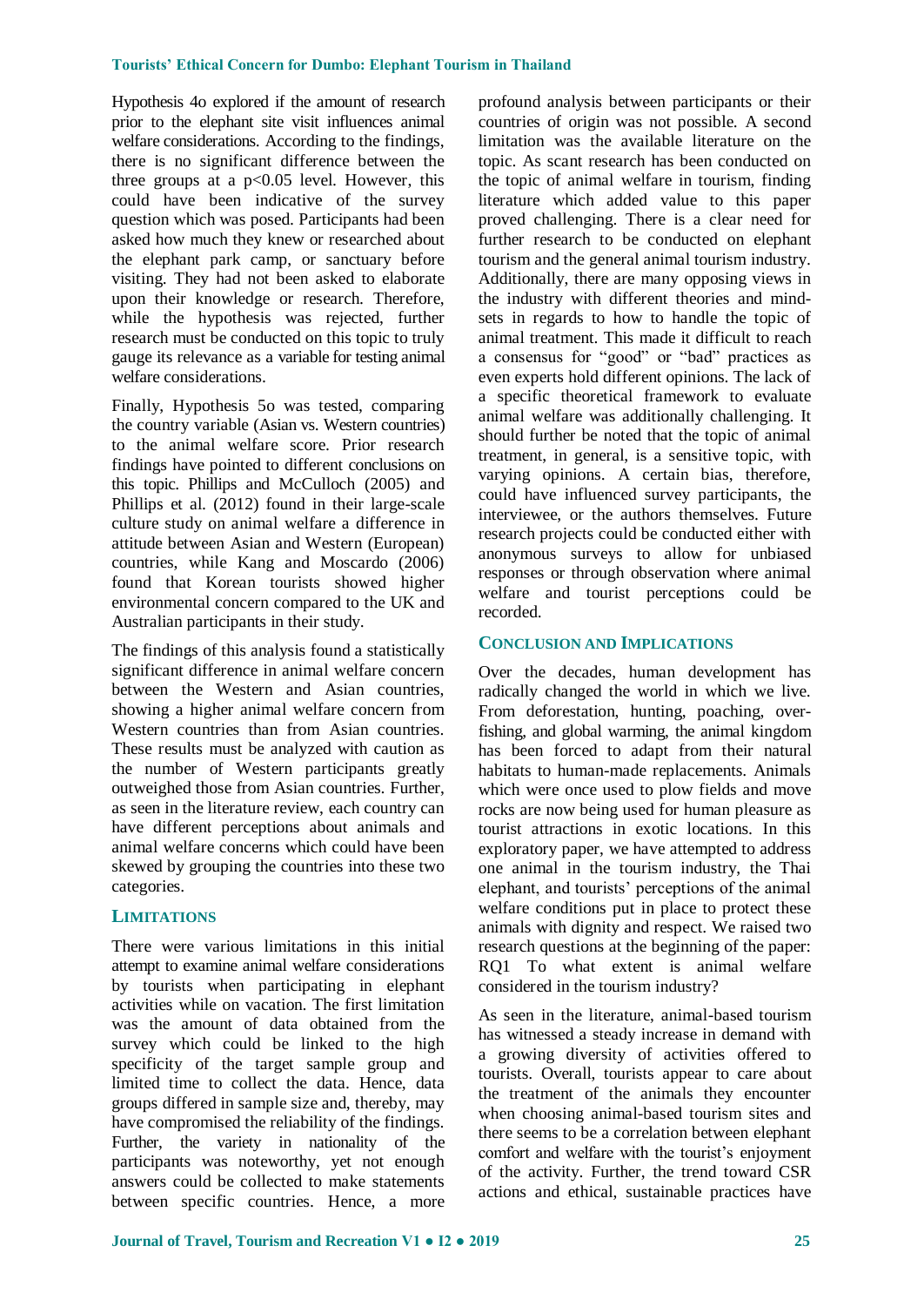Hypothesis 4o explored if the amount of research prior to the elephant site visit influences animal welfare considerations. According to the findings, there is no significant difference between the three groups at a  $p<0.05$  level. However, this could have been indicative of the survey question which was posed. Participants had been asked how much they knew or researched about the elephant park camp, or sanctuary before visiting. They had not been asked to elaborate upon their knowledge or research. Therefore, while the hypothesis was rejected, further research must be conducted on this topic to truly gauge its relevance as a variable for testing animal welfare considerations.

Finally, Hypothesis 5o was tested, comparing the country variable (Asian vs. Western countries) to the animal welfare score. Prior research findings have pointed to different conclusions on this topic. Phillips and McCulloch (2005) and Phillips et al. (2012) found in their large-scale culture study on animal welfare a difference in attitude between Asian and Western (European) countries, while Kang and Moscardo (2006) found that Korean tourists showed higher environmental concern compared to the UK and Australian participants in their study.

The findings of this analysis found a statistically significant difference in animal welfare concern between the Western and Asian countries, showing a higher animal welfare concern from Western countries than from Asian countries. These results must be analyzed with caution as the number of Western participants greatly outweighed those from Asian countries. Further, as seen in the literature review, each country can have different perceptions about animals and animal welfare concerns which could have been skewed by grouping the countries into these two categories.

## **LIMITATIONS**

There were various limitations in this initial attempt to examine animal welfare considerations by tourists when participating in elephant activities while on vacation. The first limitation was the amount of data obtained from the survey which could be linked to the high specificity of the target sample group and limited time to collect the data. Hence, data groups differed in sample size and, thereby, may have compromised the reliability of the findings. Further, the variety in nationality of the participants was noteworthy, yet not enough answers could be collected to make statements between specific countries. Hence, a more profound analysis between participants or their countries of origin was not possible. A second limitation was the available literature on the topic. As scant research has been conducted on the topic of animal welfare in tourism, finding literature which added value to this paper proved challenging. There is a clear need for further research to be conducted on elephant tourism and the general animal tourism industry. Additionally, there are many opposing views in the industry with different theories and mindsets in regards to how to handle the topic of animal treatment. This made it difficult to reach a consensus for "good" or "bad" practices as even experts hold different opinions. The lack of a specific theoretical framework to evaluate animal welfare was additionally challenging. It should further be noted that the topic of animal treatment, in general, is a sensitive topic, with varying opinions. A certain bias, therefore, could have influenced survey participants, the interviewee, or the authors themselves. Future research projects could be conducted either with anonymous surveys to allow for unbiased responses or through observation where animal welfare and tourist perceptions could be recorded.

## **CONCLUSION AND IMPLICATIONS**

Over the decades, human development has radically changed the world in which we live. From deforestation, hunting, poaching, overfishing, and global warming, the animal kingdom has been forced to adapt from their natural habitats to human-made replacements. Animals which were once used to plow fields and move rocks are now being used for human pleasure as tourist attractions in exotic locations. In this exploratory paper, we have attempted to address one animal in the tourism industry, the Thai elephant, and tourists' perceptions of the animal welfare conditions put in place to protect these animals with dignity and respect. We raised two research questions at the beginning of the paper: RQ1 To what extent is animal welfare considered in the tourism industry?

As seen in the literature, animal-based tourism has witnessed a steady increase in demand with a growing diversity of activities offered to tourists. Overall, tourists appear to care about the treatment of the animals they encounter when choosing animal-based tourism sites and there seems to be a correlation between elephant comfort and welfare with the tourist's enjoyment of the activity. Further, the trend toward CSR actions and ethical, sustainable practices have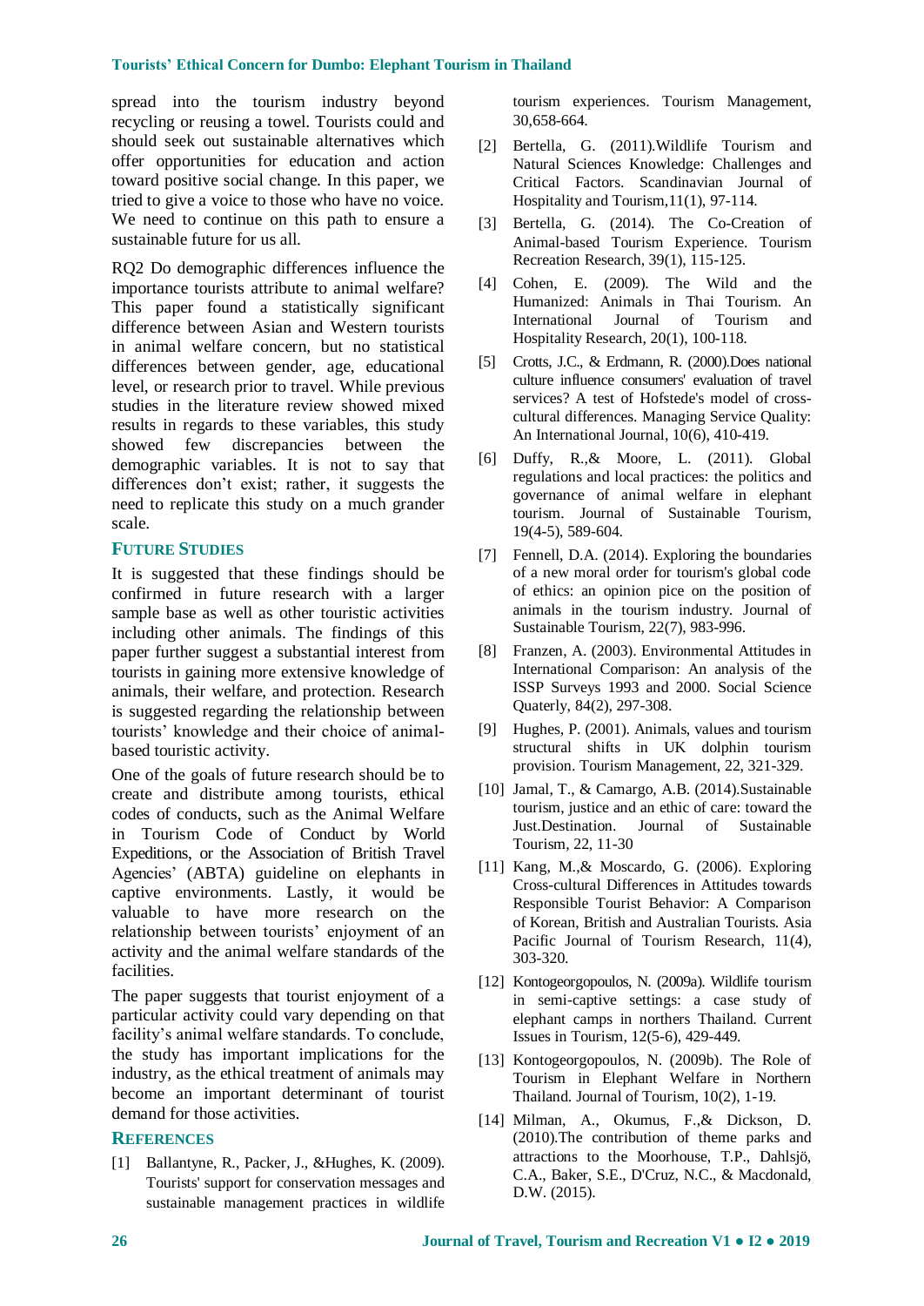spread into the tourism industry beyond recycling or reusing a towel. Tourists could and should seek out sustainable alternatives which offer opportunities for education and action toward positive social change. In this paper, we tried to give a voice to those who have no voice. We need to continue on this path to ensure a sustainable future for us all.

RQ2 Do demographic differences influence the importance tourists attribute to animal welfare? This paper found a statistically significant difference between Asian and Western tourists in animal welfare concern, but no statistical differences between gender, age, educational level, or research prior to travel. While previous studies in the literature review showed mixed results in regards to these variables, this study showed few discrepancies between the demographic variables. It is not to say that differences don't exist; rather, it suggests the need to replicate this study on a much grander scale.

#### **FUTURE STUDIES**

It is suggested that these findings should be confirmed in future research with a larger sample base as well as other touristic activities including other animals. The findings of this paper further suggest a substantial interest from tourists in gaining more extensive knowledge of animals, their welfare, and protection. Research is suggested regarding the relationship between tourists' knowledge and their choice of animalbased touristic activity.

One of the goals of future research should be to create and distribute among tourists, ethical codes of conducts, such as the Animal Welfare in Tourism Code of Conduct by World Expeditions, or the Association of British Travel Agencies' (ABTA) guideline on elephants in captive environments. Lastly, it would be valuable to have more research on the relationship between tourists' enjoyment of an activity and the animal welfare standards of the facilities.

The paper suggests that tourist enjoyment of a particular activity could vary depending on that facility's animal welfare standards. To conclude, the study has important implications for the industry, as the ethical treatment of animals may become an important determinant of tourist demand for those activities.

#### **REFERENCES**

[1] Ballantyne, R., Packer, J., &Hughes, K. (2009). Tourists' support for conservation messages and sustainable management practices in wildlife tourism experiences. Tourism Management, 30,658-664.

- [2] Bertella, G. (2011).Wildlife Tourism and Natural Sciences Knowledge: Challenges and Critical Factors. Scandinavian Journal of Hospitality and Tourism,11(1), 97-114.
- [3] Bertella, G. (2014). The Co-Creation of Animal-based Tourism Experience. Tourism Recreation Research, 39(1), 115-125.
- [4] Cohen, E. (2009). The Wild and the Humanized: Animals in Thai Tourism. An International Journal of Tourism and Hospitality Research, 20(1), 100-118.
- [5] Crotts, J.C., & Erdmann, R. (2000).Does national culture influence consumers' evaluation of travel services? A test of Hofstede's model of crosscultural differences. Managing Service Quality: An International Journal, 10(6), 410-419.
- [6] Duffy, R.,& Moore, L. (2011). Global regulations and local practices: the politics and governance of animal welfare in elephant tourism. Journal of Sustainable Tourism, 19(4-5), 589-604.
- [7] Fennell, D.A. (2014). Exploring the boundaries of a new moral order for tourism's global code of ethics: an opinion pice on the position of animals in the tourism industry. Journal of Sustainable Tourism, 22(7), 983-996.
- [8] Franzen, A. (2003). Environmental Attitudes in International Comparison: An analysis of the ISSP Surveys 1993 and 2000. Social Science Quaterly, 84(2), 297-308.
- [9] Hughes, P. (2001). Animals, values and tourism structural shifts in UK dolphin tourism provision. Tourism Management, 22, 321-329.
- [10] Jamal, T., & Camargo, A.B. (2014).Sustainable tourism, justice and an ethic of care: toward the Just.Destination. Journal of Sustainable Tourism, 22, 11-30
- [11] Kang, M.,& Moscardo, G. (2006). Exploring Cross-cultural Differences in Attitudes towards Responsible Tourist Behavior: A Comparison of Korean, British and Australian Tourists. Asia Pacific Journal of Tourism Research, 11(4), 303-320.
- [12] Kontogeorgopoulos, N. (2009a). Wildlife tourism in semi-captive settings: a case study of elephant camps in northers Thailand. Current Issues in Tourism, 12(5-6), 429-449.
- [13] Kontogeorgopoulos, N. (2009b). The Role of Tourism in Elephant Welfare in Northern Thailand. Journal of Tourism, 10(2), 1-19.
- [14] Milman, A., Okumus, F.,& Dickson, D. (2010).The contribution of theme parks and attractions to the Moorhouse, T.P., Dahlsjö, C.A., Baker, S.E., D'Cruz, N.C., & Macdonald, D.W. (2015).